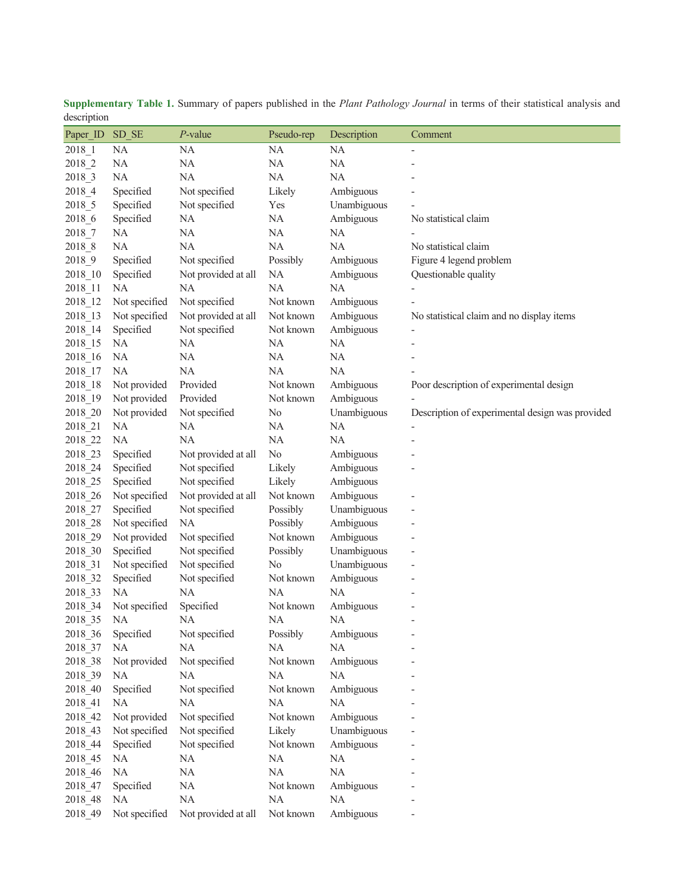| acocription |               |                     |                |             |                                                 |
|-------------|---------------|---------------------|----------------|-------------|-------------------------------------------------|
| Paper ID    | SD SE         | $P$ -value          | Pseudo-rep     | Description | Comment                                         |
| 2018 1      | NA            | <b>NA</b>           | NA             | <b>NA</b>   |                                                 |
| 2018_2      | NA            | NA                  | NA             | NA          |                                                 |
| 2018_3      | NA            | NA                  | NA             | <b>NA</b>   |                                                 |
| 2018_4      | Specified     | Not specified       | Likely         | Ambiguous   |                                                 |
| 2018_5      | Specified     | Not specified       | Yes            | Unambiguous |                                                 |
| 2018_6      | Specified     | NA                  | NA             | Ambiguous   | No statistical claim                            |
| 2018 7      | NA            | $\rm NA$            | NA             | NA          |                                                 |
| 2018_8      | NA            | NA                  | NA             | NA          | No statistical claim                            |
| 2018 9      | Specified     | Not specified       | Possibly       | Ambiguous   | Figure 4 legend problem                         |
| 2018_10     | Specified     | Not provided at all | NA             | Ambiguous   | Questionable quality                            |
| 2018_11     | NA            | NA                  | $\rm NA$       | NA          |                                                 |
| 2018_12     | Not specified | Not specified       | Not known      | Ambiguous   |                                                 |
| 2018_13     | Not specified | Not provided at all | Not known      | Ambiguous   | No statistical claim and no display items       |
| 2018_14     | Specified     | Not specified       | Not known      | Ambiguous   |                                                 |
| 2018_15     | NA            | NA                  | NA             | NA          |                                                 |
| 2018_16     | NA            | NA                  | NA             | NA          |                                                 |
| 2018_17     | NA            | NA                  | NA             | NA          |                                                 |
| 2018_18     | Not provided  | Provided            | Not known      | Ambiguous   | Poor description of experimental design         |
| 2018_19     | Not provided  | Provided            | Not known      | Ambiguous   |                                                 |
|             |               | Not specified       |                |             |                                                 |
| 2018_20     | Not provided  |                     | N <sub>0</sub> | Unambiguous | Description of experimental design was provided |
| 2018_21     | NA            | NA                  | NA             | NA          |                                                 |
| 2018_22     | <b>NA</b>     | NA                  | NA             | <b>NA</b>   |                                                 |
| 2018_23     | Specified     | Not provided at all | No             | Ambiguous   |                                                 |
| 2018_24     | Specified     | Not specified       | Likely         | Ambiguous   |                                                 |
| 2018_25     | Specified     | Not specified       | Likely         | Ambiguous   |                                                 |
| 2018_26     | Not specified | Not provided at all | Not known      | Ambiguous   |                                                 |
| 2018_27     | Specified     | Not specified       | Possibly       | Unambiguous |                                                 |
| 2018_28     | Not specified | NA                  | Possibly       | Ambiguous   |                                                 |
| 2018_29     | Not provided  | Not specified       | Not known      | Ambiguous   |                                                 |
| 2018_30     | Specified     | Not specified       | Possibly       | Unambiguous |                                                 |
| 2018_31     | Not specified | Not specified       | N <sub>o</sub> | Unambiguous |                                                 |
| 2018_32     | Specified     | Not specified       | Not known      | Ambiguous   |                                                 |
| 2018_33     | NA            | NA                  | NA             | NA          |                                                 |
| 2018_34     | Not specified | Specified           | Not known      | Ambiguous   |                                                 |
| 2018_35     | NA.           | NA                  | NA             | NA.         |                                                 |
| 2018_36     | Specified     | Not specified       | Possibly       | Ambiguous   |                                                 |
| 2018_37     | <b>NA</b>     | NA                  | NA             | NA          |                                                 |
| 2018_38     | Not provided  | Not specified       | Not known      | Ambiguous   |                                                 |
| 2018 39     | NA            | NA                  | NA             | NA          |                                                 |
| 2018_40     | Specified     | Not specified       | Not known      | Ambiguous   |                                                 |
| 2018 41     | NA            | NA                  | NA             | NA          |                                                 |
| 2018_42     | Not provided  | Not specified       | Not known      | Ambiguous   |                                                 |
| 2018 43     | Not specified | Not specified       | Likely         | Unambiguous |                                                 |
| 2018_44     | Specified     | Not specified       | Not known      | Ambiguous   |                                                 |
| 2018_45     | NA            | NA                  | NA             | $\rm NA$    |                                                 |
| 2018_46     | $\rm NA$      | $\rm NA$            | $\rm NA$       | $\rm NA$    |                                                 |
| 2018_47     | Specified     | $\rm NA$            | Not known      | Ambiguous   |                                                 |
| 2018_48     | NA            | NA                  | $\rm NA$       | NA          |                                                 |
| 2018 49     | Not specified | Not provided at all | Not known      | Ambiguous   |                                                 |
|             |               |                     |                |             |                                                 |

**Supplementary Table 1.** Summary of papers published in the *Plant Pathology Journal* in terms of their statistical analysis and description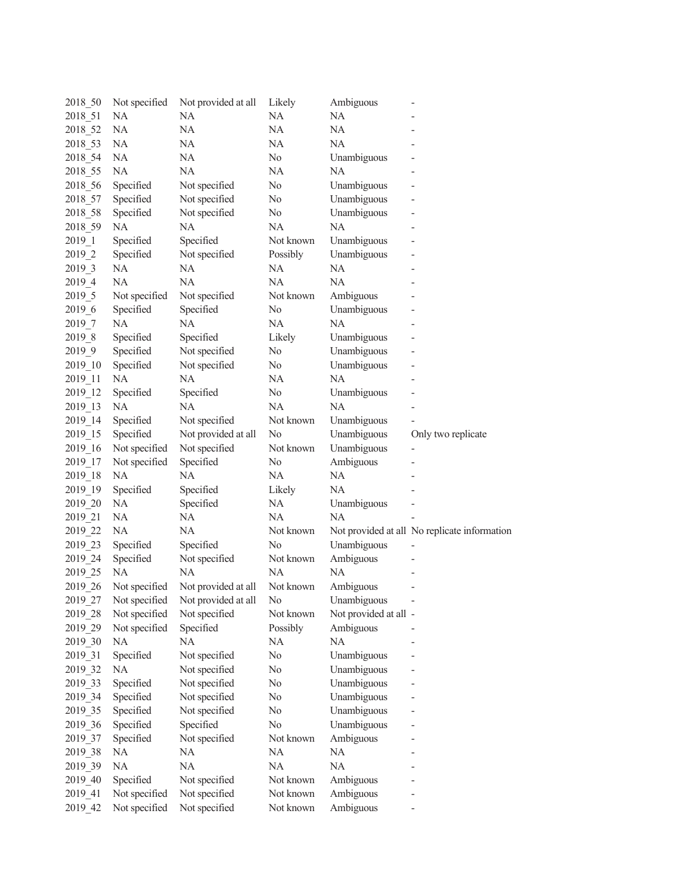| 2018_50    | Not specified         | Not provided at all | Likely    | Ambiguous             |                                              |
|------------|-----------------------|---------------------|-----------|-----------------------|----------------------------------------------|
| 2018 51    | NA                    | NA                  | NA        | NA                    |                                              |
| 2018_52    | NA                    | NA                  | NA        | NA                    |                                              |
| 2018 53    | <b>NA</b>             | NA                  | NA        | NA                    |                                              |
| 2018 54    | <b>NA</b>             | NA                  | No        | Unambiguous           |                                              |
| 2018 55    | <b>NA</b>             | NA                  | NA        | NA                    |                                              |
| 2018 56    | Specified             | Not specified       | No        | Unambiguous           |                                              |
| 2018 57    | Specified             | Not specified       | No        | Unambiguous           |                                              |
| 2018_58    | Specified             | Not specified       | No        | Unambiguous           |                                              |
| 2018_59    | NA                    | NA                  | NA        | NA                    |                                              |
| 2019 1     | Specified             | Specified           | Not known | Unambiguous           |                                              |
| 2019 2     | Specified             | Not specified       | Possibly  | Unambiguous           |                                              |
| 2019 3     | <b>NA</b>             | NA                  | NA        | NA                    |                                              |
| 2019 4     | NA                    | NA                  | NA        | NA                    |                                              |
| 2019 5     | Not specified         | Not specified       | Not known | Ambiguous             |                                              |
| $2019\_6$  | Specified             | Specified           | No        | Unambiguous           |                                              |
| 2019 7     | <b>NA</b>             | NA                  | NA        | NA                    |                                              |
| 2019 8     | Specified             | Specified           | Likely    | Unambiguous           |                                              |
| $2019 - 9$ | Specified             | Not specified       | No        | Unambiguous           |                                              |
| 2019 10    | Specified             | Not specified       | No        | Unambiguous           |                                              |
| 2019 11    | NA                    | NA                  | NA        | NA                    |                                              |
| 2019 12    | Specified             | Specified           | No        | Unambiguous           |                                              |
| 2019 13    | NA                    | <b>NA</b>           | NA        | NA                    |                                              |
| 2019 14    | Specified             | Not specified       | Not known | Unambiguous           |                                              |
| 2019 15    | Specified             | Not provided at all | No        | Unambiguous           | Only two replicate                           |
| 2019 16    | Not specified         | Not specified       | Not known | Unambiguous           | $\overline{\phantom{0}}$                     |
| 2019_17    | Not specified         | Specified           | No        | Ambiguous             |                                              |
| 2019_18    | NA                    | NA                  | NA        | NA                    |                                              |
| 2019 19    | Specified             | Specified           | Likely    | NA                    |                                              |
| 2019 20    | NA                    | Specified           | NA        | Unambiguous           |                                              |
| 2019 21    | NA                    | NA                  | NA        | <b>NA</b>             |                                              |
| 2019 22    | NA                    | NA                  | Not known |                       | Not provided at all No replicate information |
| 2019 23    | Specified             | Specified           | No        | Unambiguous           |                                              |
| 2019 24    | Specified             | Not specified       | Not known | Ambiguous             |                                              |
| 2019 25    | <b>NA</b>             | NA                  | NA        | NA                    |                                              |
| 2019 26    | Not specified         | Not provided at all | Not known | Ambiguous             |                                              |
|            | 2019_27 Not specified | Not provided at all | $\rm No$  | Unambiguous           |                                              |
| 2019 28    | Not specified         | Not specified       | Not known | Not provided at all - |                                              |
| 2019 29    | Not specified         | Specified           | Possibly  | Ambiguous             |                                              |
| 2019 30    | NA                    | NA                  | NA        | NA                    |                                              |
| 2019 31    | Specified             | Not specified       | No        | Unambiguous           |                                              |
| 2019 32    | NA                    | Not specified       | No        | Unambiguous           |                                              |
| 2019 33    | Specified             | Not specified       | No        | Unambiguous           |                                              |
| 2019 34    | Specified             | Not specified       | No        | Unambiguous           |                                              |
| 2019 35    | Specified             | Not specified       | No        | Unambiguous           |                                              |
| 2019_36    | Specified             | Specified           | $\rm No$  | Unambiguous           |                                              |
| 2019 37    | Specified             | Not specified       | Not known | Ambiguous             |                                              |
| 2019 38    | NA                    | NA                  | NA        | NA                    |                                              |
| 2019 39    | NA                    | NA                  | NA        | NA                    |                                              |
| 2019 40    | Specified             | Not specified       | Not known | Ambiguous             |                                              |
| 2019 41    | Not specified         | Not specified       | Not known | Ambiguous             |                                              |
| 2019 42    | Not specified         | Not specified       | Not known | Ambiguous             |                                              |
|            |                       |                     |           |                       |                                              |